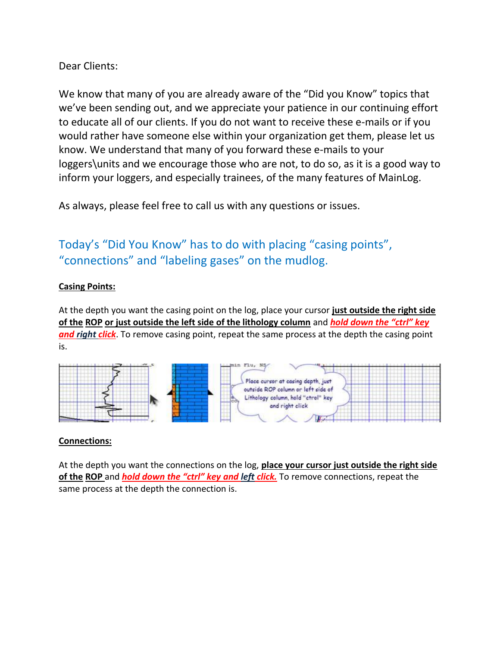# Dear Clients:

We know that many of you are already aware of the "Did you Know" topics that we've been sending out, and we appreciate your patience in our continuing effort to educate all of our clients. If you do not want to receive these e-mails or if you would rather have someone else within your organization get them, please let us know. We understand that many of you forward these e-mails to your loggers\units and we encourage those who are not, to do so, as it is a good way to inform your loggers, and especially trainees, of the many features of MainLog.

As always, please feel free to call us with any questions or issues.

# Today's "Did You Know" has to do with placing "casing points", "connections" and "labeling gases" on the mudlog.

## **Casing Points:**

At the depth you want the casing point on the log, place your cursor **just outside the right side of the ROP or just outside the left side of the lithology column** and *hold down the "ctrl" key and right click*. To remove casing point, repeat the same process at the depth the casing point is.



### **Connections:**

At the depth you want the connections on the log, **place your cursor just outside the right side of the ROP** and *hold down the "ctrl" key and left click.* To remove connections, repeat the same process at the depth the connection is.